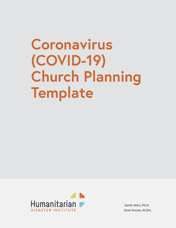# **Coronavirus (COVID-19) Church Planning Template**



**Jamie Aten, Ph.D. Kent Annan, M.Div.**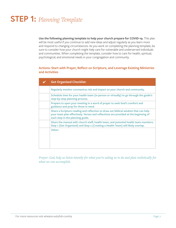# **STEP 1:** *Planning Template*

**Use the following planning template to help your church prepare for COVID-19.** This plan will be most useful if you continue to add new ideas and adjust regularly as you learn more and respond to changing circumstances. As you work on completing the planning template, be sure to consider how your church might help care for vulnerable and underserved individuals and communities. When completing the template, consider how to care for health, spiritual, psychological, and emotional needs in your congregation and community.

### **Actions: Start with Prayer, Reflect on Scripture, and Leverage Existing Ministries and Activities**

| <b>Get Organized Checklist:</b>                                                                                                                                                                               |
|---------------------------------------------------------------------------------------------------------------------------------------------------------------------------------------------------------------|
| Regularly monitor coronavirus risk and impact on your church and community.                                                                                                                                   |
| Schedule time for your health team (in person or virtually) to go through the guide's<br>step-by-step planning process.                                                                                       |
| Prepare to open your meeting in a word of prayer to seek God's comfort and<br>guidance and pray for those in need.                                                                                            |
| Share a Scripture reading and reflection to draw out biblical wisdom that can help<br>your team plan effectively. Verses and reflections are provided at the beginning of<br>each step in the planning guide. |
| Share the manual with church staff, health team, and potential health team members.<br>Step 1 (Get Organized) and Step 2 (Creating a Health Team) will likely overlap.                                        |
| Other:                                                                                                                                                                                                        |

*Prayer: God, help us listen intently for what you're asking us to do and plan realistically for what we can accomplish.*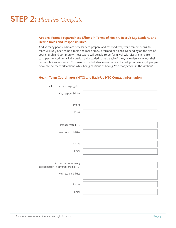# **STEP 2:** *Planning Template*

### **Actions: Frame Preparedness Efforts in Terms of Health, Recruit Lay Leaders, and Define Roles and Responsibilities.**

Add as many people who are necessary to prepare and respond well, while remembering this team will likely need to be nimble and make quick, informed decisions. Depending on the size of your church and community, most teams will be able to perform well with sizes ranging from 5 to 12 people. Additional individuals may be added to help each of the 5-12 leaders carry out their responsibilities as needed. You want to find a balance in numbers that will provide enough people power to do the work at hand while being cautious of having "too many cooks in the kitchen."

### **Health Team Coordinator (HTC) and Back-Up HTC Contact Information**

| The HTC for our congregation                                 |  |
|--------------------------------------------------------------|--|
| Key responsibilities                                         |  |
| Phone                                                        |  |
| Email                                                        |  |
|                                                              |  |
| First alternate HTC                                          |  |
| Key responsibilities                                         |  |
| Phone                                                        |  |
| Email                                                        |  |
|                                                              |  |
| Authorized emergency<br>spokesperson (if different from HTC) |  |
| Key responsibilities                                         |  |
| Phone                                                        |  |
| Email                                                        |  |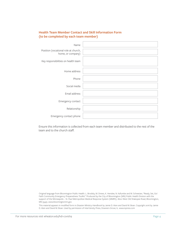### **Health Team Member Contact and Skill Information Form (to be completed by each team member)**

| Name                                                      |  |
|-----------------------------------------------------------|--|
| Position (vocational role at church,<br>home, or company) |  |
| Key responsibilities on health team                       |  |
| Home address                                              |  |
| Phone                                                     |  |
| Social media                                              |  |
| Email address                                             |  |
| Emergency contact                                         |  |
| Relationship                                              |  |
| Emergency contact phone                                   |  |

Ensure this information is collected from each team member and distributed to the rest of the team and to the church staff.

Original language from Bloomington Public Health. L. Brodsky, M. Drews, K. Henslee, N. Kafumbe and M. Schweizer, "Ready, Set, Go! Faith Community Emergency Preparedness Toolkit." Produced by the City of Bloomington (MN) Public Health Division with the support of the Minneapolis – St. Paul Metropolitan Medical Response System (MMRS), 1800 West Old Shakopee Road, Bloomington, MN 55431, www.bloomingtonmn.gov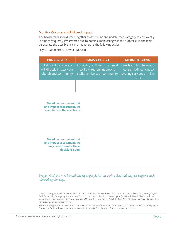#### **Monitor Coronavirus Risk and Impact:**

The health team should work together to determine and update each category at least weekly (or more frequently if warranted due to possible rapid changes in the outbreak). In the table below, rate the possible risk and impact using the following scale:

High=3 Moderate=2 Low=1 None=0

| <b>PROBABILITY</b>                                                          | <b>HUMAN IMPACT</b>                                                                             | <b>MINISTRY IMPACT</b>                                                                       |
|-----------------------------------------------------------------------------|-------------------------------------------------------------------------------------------------|----------------------------------------------------------------------------------------------|
| Likelihood coronavirus<br>will directly impact your<br>church and community | Possibility of illness (from mild<br>to life threatening) among<br>staff, members, or community | Likelihood to interrupt or<br>cause modifications to<br>existing services or minis-<br>tries |
|                                                                             |                                                                                                 |                                                                                              |



**Based on our current risk and impact assessment, we may need to make these decisions soon:**



*Prayer: God, may we identify the right people for the right roles, and may we support each other along the way.*

Original language from Bloomington Public Health. L. Brodsky, M. Drews, K. Henslee, N. Kafumbe and M. Schweizer, "Ready, Set, Go! Faith Community Emergency Preparedness Toolkit." Produced by the City of Bloomington (MN) Public Health Division with the support of the Minneapolis – St. Paul Metropolitan Medical Response System (MMRS), 1800 West Old Shakopee Road, Bloomington, MN 55431, www.bloomingtonmn.gov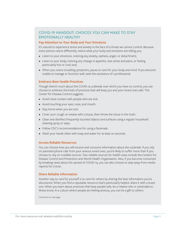# **COVID-19 HANDOUT: CHOICES YOU CAN MAKE TO STAY EMOTIONALLY HEALTHY**

#### **Pay Attention to Your Body and Your Emotions**

It's natural to experience stress and anxiety in the face of a threat we cannot control. Because every person reacts differently, notice what your body and emotions are telling you:

- Listen to your emotions, noticing any anxiety, sadness, anger, or detachment;
- Listen to your body, noticing any change in appetite, new aches and pains, or feeling particularly hot or cool; and,
- When you notice troubling symptoms, pause to care for your body and mind. If you become unable to manage or function well, seek the assistance of a professional.

#### **Embrace Best Health Practices**

Though there's much about the COVID-19 outbreak over which you have no control, you can choose to embrace the kinds of practices that will keep you and your loved ones safe. The Center for Disease Control suggests:

- Avoid close contact with people who are sick.
- Avoid touching your eyes, nose, and mouth.
- Stay home when you are sick.
- Cover your cough or sneeze with a tissue, then throw the tissue in the trash.
- Clean and disinfect frequently touched objects and surfaces using a regular household cleaning spray or wipe.
- Follow CDC's recommendations for using a facemask.
- Wash your hands often with soap and water for at least 20 seconds.

#### **Access Reliable Resources**

You can choose how you will receive and consume information about the outbreak. If you rely on panicked phone calls from your anxious loved ones, you're likely to suffer more than if you choose to rely on credible sources. Two reliable sources for health news include the Centers for Disease Control and Prevention and World Health Organization. Also, if you become consumed by breaking news about the spread of COVID-19, you can also choose to step away from media reports for a time.

### **Share Reliable Information**

Another way to care for yourself is to care for others by sharing the best information you've discovered. When you find a reputable resource that's particularly helpful, share it with a loved one. When you learn about practices that keep people safe, let a relative who is vulnerable to illness know. In a culture where people are feeling anxious, you can be a gift to others.

*Continued on next page*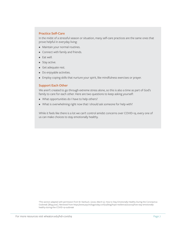#### **Practice Self-Care**

In the midst of a stressful season or situation, many self-care practices are the same ones that prove helpful in everyday living:

- Maintain your normal routines.
- Connect with family and friends.
- Eat well.
- Stay active.
- Get adequate rest.
- Do enjoyable activities.
- Employ coping skills that nurture your spirit, like mindfulness exercises or prayer.

#### **Support Each Other**

We aren't created to go through extreme stress alone, so this is also a time as part of God's family to care for each other. Here are two questions to keep asking yourself:

- What opportunities do I have to help others?
- What is overwhelming right now that I should ask someone for help with?

While it feels like there is a lot we can't control amidst concerns over COVID-19, every one of us can make choices to stay emotionally healthy.

3 This section adapted with permission from M. Starbuck. (2020, March 3). How to Stay Emotionally Healthy During the Coronavirus Outbreak [Blog post]. Retrieved from https://www.psychologytoday.com/us/blog/hope-resilience/202003/how-stay-emotionallyhealthy-during-the-COVID-19-outbreak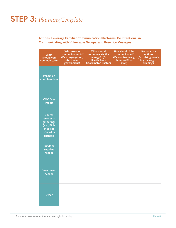# **STEP 3:** *Planning Template*

# **Actions: Leverage Familiar Communication Platforms, Be Intentional in Communicating with Vulnerable Groups, and Prewrite Messages**

| <b>What</b><br>should you<br>communicate?                                                       | Who are you<br>communicating to?<br>(Ex: congregation,<br>staff, local<br>government) | <b>Who should</b><br>communicate the<br>message? (Ex:<br><b>Health Team</b><br><b>Coordinator, Pastor)</b> | How should it be<br>communicated?<br>(Ex: electronically,<br>phone call/tree,<br>mail) | Preparatory<br><b>Actions</b><br>(Ex: talking points,<br>key messages,<br>training) |
|-------------------------------------------------------------------------------------------------|---------------------------------------------------------------------------------------|------------------------------------------------------------------------------------------------------------|----------------------------------------------------------------------------------------|-------------------------------------------------------------------------------------|
| <b>Impact on</b><br>church to date                                                              |                                                                                       |                                                                                                            |                                                                                        |                                                                                     |
| COVID-19<br>Impact                                                                              |                                                                                       |                                                                                                            |                                                                                        |                                                                                     |
| <b>Church</b><br>services or<br>gatherings<br>(e.g., Bible<br>studies)<br>offered or<br>changed |                                                                                       |                                                                                                            |                                                                                        |                                                                                     |
| <b>Funds or</b><br>supplies<br>needed                                                           |                                                                                       |                                                                                                            |                                                                                        |                                                                                     |
| <b>Volunteers</b><br>needed                                                                     |                                                                                       |                                                                                                            |                                                                                        |                                                                                     |
| Other                                                                                           |                                                                                       |                                                                                                            |                                                                                        |                                                                                     |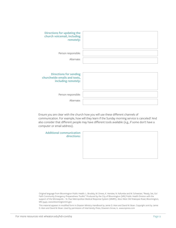| <b>Directions for updating the</b><br>church voicemail, including<br>remotely:       |  |
|--------------------------------------------------------------------------------------|--|
| Person responsible:                                                                  |  |
| Alternate:                                                                           |  |
| <b>Directions for sending</b><br>churchwide emails and texts,<br>including remotely: |  |
| Person responsible:                                                                  |  |
| Alternate:                                                                           |  |

Ensure you are clear with the church how you will use these different channels of communication. For example, how will they learn if the Sunday morning service is canceled? And also consider that different people may have different tools available (e.g., if some don't have a computer or email address).

**Additional communication directions:**

Original language from Bloomington Public Health. L. Brodsky, M. Drews, K. Henslee, N. Kafumbe and M. Schweizer, "Ready, Set, Go! Faith Community Emergency Preparedness Toolkit." Produced by the City of Bloomington (MN) Public Health Division with the support of the Minneapolis – St. Paul Metropolitan Medical Response System (MMRS), 1800 West Old Shakopee Road, Bloomington, MN 55431, www.bloomingtonmn.gov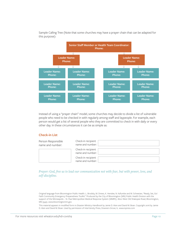

Sample Calling Tree (Note that some churches may have a prayer chain that can be adapted for this purpose):

Instead of using a "prayer chain" model, some churches may decide to divide a list of vulnerable people who need to be checked in with regularly among staff and laypeople. For example, each person would get a list of several people who they are committed to check in with daily or every other day. In these circumstances it can be as simple as:

#### **Check-in List**

| Person Responsible<br>name and number: | Check-in recipient<br>name and number: |
|----------------------------------------|----------------------------------------|
|                                        | Check-in recipient<br>name and number: |
|                                        | Check-in recipient<br>name and number: |

*Prayer: God, free us to lead our communication not with fear, but with power, love, and self-discipline.*

Original language from Bloomington Public Health. L. Brodsky, M. Drews, K. Henslee, N. Kafumbe and M. Schweizer, "Ready, Set, Go! Faith Community Emergency Preparedness Toolkit." Produced by the City of Bloomington (MN) Public Health Division with the support of the Minneapolis – St. Paul Metropolitan Medical Response System (MMRS), 1800 West Old Shakopee Road, Bloomington, MN 55431, www.bloomingtonmn.gov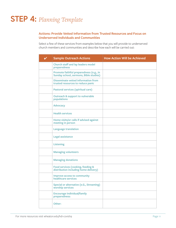# **STEP 4:** *Planning Template*

## **Actions: Provide Vetted Information from Trusted Resources and Focus on Underserved Individuals and Communities**

Select a few of these services from examples below that you will provide to underserved church members and communities and describe how each will be carried out:

| <b>Sample Outreach Actions</b>                                                    | <b>How Action Will be Achieved</b> |
|-----------------------------------------------------------------------------------|------------------------------------|
| <b>Church staff and lay leaders model</b><br>preparedness                         |                                    |
| Promote faithful preparedness (e.g., in<br>Sunday school, sermons, Bible studies) |                                    |
| <b>Disseminate vetted information from</b><br>trusted resources to reduce panic   |                                    |
| Pastoral services (spiritual care)                                                |                                    |
| <b>Outreach &amp; support to vulnerable</b><br>populations                        |                                    |
| <b>Advocacy</b>                                                                   |                                    |
| <b>Health services</b>                                                            |                                    |
| Home visits/or calls if advised against<br>meeting in person                      |                                    |
| <b>Language translation</b>                                                       |                                    |
| <b>Legal assistance</b>                                                           |                                    |
| <b>Listening</b>                                                                  |                                    |
| <b>Managing volunteers</b>                                                        |                                    |
| <b>Managing donations</b>                                                         |                                    |
| Food services (cooking, feeding &<br>distribution including home delivery)        |                                    |
| <b>Improve access to community</b><br>healthcare services                         |                                    |
| <b>Special or alternative (e.G., Streaming)</b><br>worship services               |                                    |
| <b>Encourage individual/family</b><br>preparedness:                               |                                    |
| Other:                                                                            |                                    |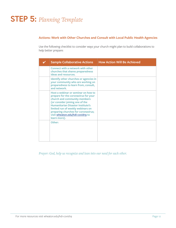# **STEP 5:** *Planning Template*

### **Actions: Work with Other Churches and Consult with Local Public Health Agencies**

Use the following checklist to consider ways your church might plan to build collaborations to help better prepare:

| <b>Sample Collaborative Actions</b>                                                                                                                                                                                                                                                                                        | <b>How Action Will Be Achieved</b> |
|----------------------------------------------------------------------------------------------------------------------------------------------------------------------------------------------------------------------------------------------------------------------------------------------------------------------------|------------------------------------|
| Connect with a network with other<br>churches that shares preparedness<br>ideas and resources.                                                                                                                                                                                                                             |                                    |
| Identify other churches or agencies in<br>your community who are working on<br>preparedness to learn from, consult,<br>and network.                                                                                                                                                                                        |                                    |
| Host a webinar or seminar on how to<br>prepare for the coronavirus for your<br>church and community members<br>(or consider joining one of the<br><b>Humanitarian Disaster Institute's</b><br>limited run of weekly webinars on<br>preparing churches for coronavirus;<br>visit wheaton.edu/hdi-covid19 to<br>learn more). |                                    |
| Other:                                                                                                                                                                                                                                                                                                                     |                                    |

*Prayer: God, help us recognize and lean into our need for each other.*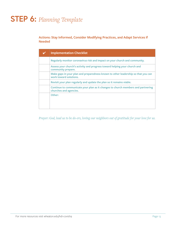# **STEP 6:** *Planning Template*

**Actions: Stay Informed, Consider Modifying Practices, and Adapt Services if Needed** 

| <b>Implementation Checklist</b>                                                                             |
|-------------------------------------------------------------------------------------------------------------|
| Regularly monitor coronavirus risk and impact on your church and community.                                 |
| Assess your church's activity and progress toward helping your church and<br>community prepare.             |
| Make gaps in your plan and preparedness known to other leadership so that you can<br>work toward solutions. |
| Revisit your plan regularly and update the plan so it remains viable.                                       |
| Continue to communicate your plan as it changes to church members and partnering<br>churches and agencies.  |
| Other:                                                                                                      |

*Prayer: God, lead us to be do-ers, loving our neighbors out of gratitude for your love for us.*